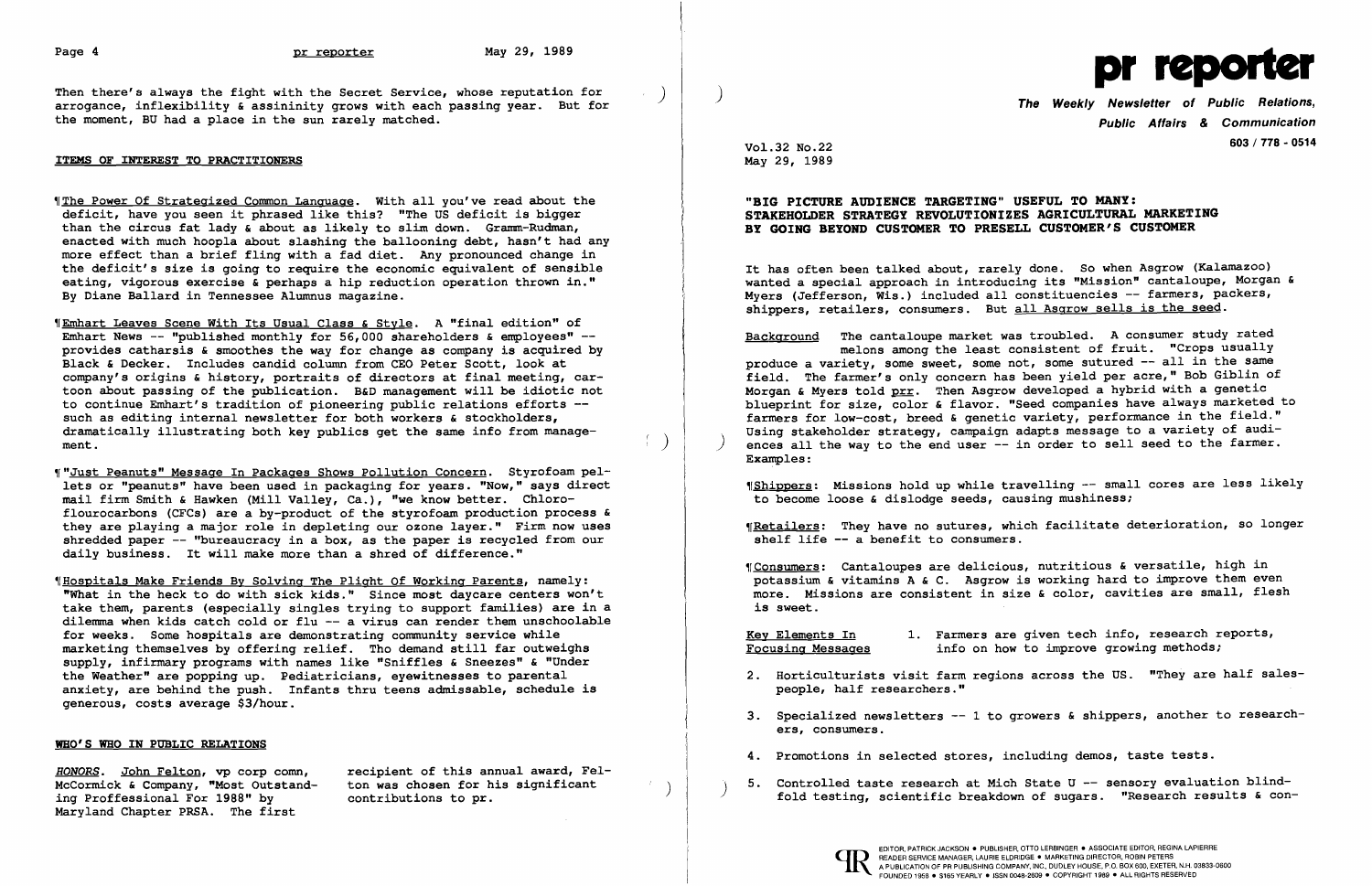Then there's always the fight with the Secret Service, whose reputation for arrogance, inflexibility & assininity grows with each passing year. But for the moment, BU had a place in the sun rarely matched.

## ITEMS OF INTEREST TO PRACTITIONERS

"The Power Of Strategized Common Language. With all you've read about the deficit, have you seen it phrased like this? "The US deficit is bigger than the circus fat lady & about as likely to slim down. Gramm-Rudman, enacted with much hoopla about slashing the ballooning debt, hasn't had any more effect than a brief fling with a fad diet. Any pronounced change in the deficit's size is going to require the economic equivalent of sensible eating, vigorous exercise & perhaps a hip reduction operation thrown in." By Diane Ballard in Tennessee Alumnus magazine.

**"Emhart Leaves Scene With Its Usual Class & Style. A "final edition" of** Emhart News  $--$  "published monthly for 56,000 shareholders & employees"  $-$ provides catharsis & smoothes the way for change as company is acquired by Black & Decker. Includes candid column from CEO Peter Scott, look at company's origins & history, portraits of directors at final meeting, cartoon about passing of the publication. B&D management will be idiotic not to continue Emhart's tradition of pioneering public relations efforts such as editing internal newsletter for both workers & stockholders, dramatically illustrating both key publics get the same info from manage- $\frac{d}{dx}$  diametrically intestrating both key publics get the same fills from manage  $\left(\begin{array}{c} \end{array}\right)$ 

"Just Peanuts" Message In Packages Shows Pollution Concern. Styrofoam pellets or "peanuts" have been used in packaging for years. "Now," says direct mail firm Smith & Hawken (Mill Valley, Ca.), "we know better. Chloroflourocarbons (CFCs) are a by-product of the styrofoam production process & they are playing a major role in depleting Our ozone layer." Firm now uses shredded paper -- "bureaucracy in a box, as the paper is recycled from our daily business. It will make more than a shred of difference."

It has often been talked about, rarely done. So when Asgrow (Kalamazoo) wanted a special approach in introducing its "Mission" cantaloupe, Morgan & Myers (Jefferson, Wis.) included all constituencies -- farmers, packers, shippers, retailers, consumers. But all Asgrow sells is the seed.

~[Hospitals Make Friends By Solving The Plight Of Working Parents, namely: "What in the heck to do with sick kids." Since most daycare centers won't take them, parents (especially singles trying to support families) are in a dilemma when kids catch cold or flu -- a virus can render them unschoolable for weeks. Some hospitals are demonstrating community service while marketing themselves by offering relief. Tho demand still far outweighs supply, infirmary programs with names like "Sniffles & Sneezes" & "Under the Weather" are popping up. Pediatricians, eyewitnesses to parental anxiety, are behind the push. Infants thru teens admissable, schedule is generous, costs average \$3/hour.

Maryland Chapter PRSA. The first ing Proffessional For 1988" by

*HONORS.* John Felton, vp corp comn, recipient of this annual award, Fel-McCormick & Company, "Most Outstand- ton was chosen for his significant

## WHO'S WHO IN PUBLIC RELATIONS



Public Affairs & Communication 603/778 - <sup>0514</sup>

2. Horticulturists visit farm regions across the US. "They are half sales-

3. Specialized newsletters  $-1$  to growers & shippers, another to research-

ton was chosen for his significant  $\begin{pmatrix} 0 & 0 \end{pmatrix}$  and the Controlled taste research at Mich State U -- sensory evaluation blind contributions to pr.

Vol.32 No.22 May 29, 1989

## "BIG PICTURE AUDIENCE TARGETING" USEFUL TO MANY: STAKEHOLDER STRATEGY REVOLUTIONIZES AGRICULTURAL MARKETING BY GOING BEYOND CUSTOMER TO PRESELL CUSTOMER'S CUSTOMER

Background The cantaloupe market was troubled. A consumer study rated melons among the least consistent of fruit. "Crops usually produce a variety, some sweet, some not, some sutured -- all in the same field. The farmer's only concern has been yield per acre," Bob Giblin of Morgan & Myers told prr. Then Asgrow developed a hybrid with a genetic blueprint for size, color & flavor. "Seed companies have always marketed to farmers for low-cost, breed & genetic variety, performance in the field." Using stakeholder strategy, campaign adapts message to a variety of audi-<br>ences all the way to the end user -- in order to sell seed to the farmer. Examples:

~[Shippers: Missions hold up while travelling -- small cores are less likely to become loose & dislodge seeds, causing mushiness:

Wetailers: They have no sutures, which facilitate deterioration, so longer shelf life -- a benefit to consumers.

~rConsumers: Cantaloupes are delicious, nutritious & versatile, high in potassium & vitamins A & C. Asgrow is working hard to improve them even more. Missions are consistent in size & color, cavities are small, flesh is sweet.

Key Elements In 1. Farmers are given tech info, research reports,<br>Focusing Messages info on how to improve growing methods; info on how to improve growing methods;

- people, half researchers."
- ers, consumers.
- 4. Promotions in selected stores, including demos, taste tests.
-